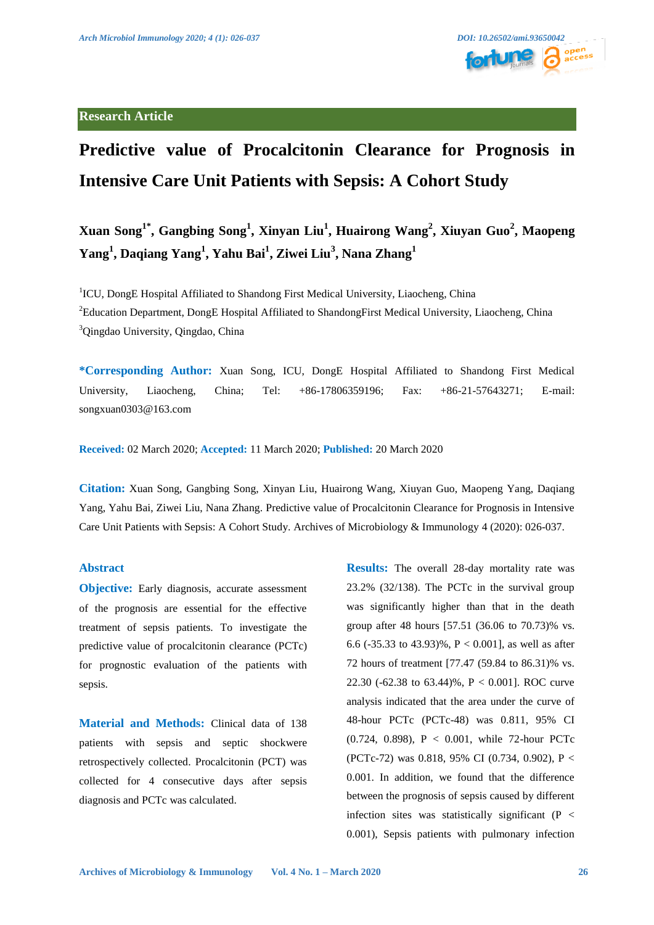

## **Research Article**



# **Predictive value of Procalcitonin Clearance for Prognosis in Intensive Care Unit Patients with Sepsis: A Cohort Study**

**Xuan Song1\*, Gangbing Song1 , Xinyan Liu1 , Huairong Wang<sup>2</sup> , Xiuyan Guo<sup>2</sup> , Maopeng Yang<sup>1</sup> , Daqiang Yang<sup>1</sup> , Yahu Bai1 , Ziwei Liu<sup>3</sup> , Nana Zhang<sup>1</sup>**

<sup>1</sup>ICU, DongE Hospital Affiliated to Shandong First Medical University, Liaocheng, China <sup>2</sup>Education Department, DongE Hospital Affiliated to ShandongFirst Medical University, Liaocheng, China <sup>3</sup>Qingdao University, Qingdao, China

**\*Corresponding Author:** Xuan Song, ICU, DongE Hospital Affiliated to Shandong First Medical University, Liaocheng, China; Tel: +86-17806359196; Fax: +86-21-57643271; E-mail: songxuan0303@163.com

**Received:** 02 March 2020; **Accepted:** 11 March 2020; **Published:** 20 March 2020

**Citation:** Xuan Song, Gangbing Song, Xinyan Liu, Huairong Wang, Xiuyan Guo, Maopeng Yang, Daqiang Yang, Yahu Bai, Ziwei Liu, Nana Zhang. Predictive value of Procalcitonin Clearance for Prognosis in Intensive Care Unit Patients with Sepsis: A Cohort Study. Archives of Microbiology & Immunology 4 (2020): 026-037.

#### **Abstract**

**Objective:** Early diagnosis, accurate assessment of the prognosis are essential for the effective treatment of sepsis patients. To investigate the predictive value of procalcitonin clearance (PCTc) for prognostic evaluation of the patients with sepsis.

**Material and Methods:** Clinical data of 138 patients with sepsis and septic shockwere retrospectively collected. Procalcitonin (PCT) was collected for 4 consecutive days after sepsis diagnosis and PCTc was calculated.

**Results:** The overall 28-day mortality rate was 23.2% (32/138). The PCTc in the survival group was significantly higher than that in the death group after 48 hours [57.51 (36.06 to 70.73)% vs. 6.6 (-35.33 to 43.93)%,  $P < 0.001$ ], as well as after 72 hours of treatment [77.47 (59.84 to 86.31)% vs. 22.30 (-62.38 to 63.44)%, P < 0.001]. ROC curve analysis indicated that the area under the curve of 48-hour PCTc (PCTc-48) was 0.811, 95% CI (0.724, 0.898), P < 0.001, while 72-hour PCTc (PCTc-72) was 0.818, 95% CI (0.734, 0.902), P < 0.001. In addition, we found that the difference between the prognosis of sepsis caused by different infection sites was statistically significant  $(P <$ 0.001), Sepsis patients with pulmonary infection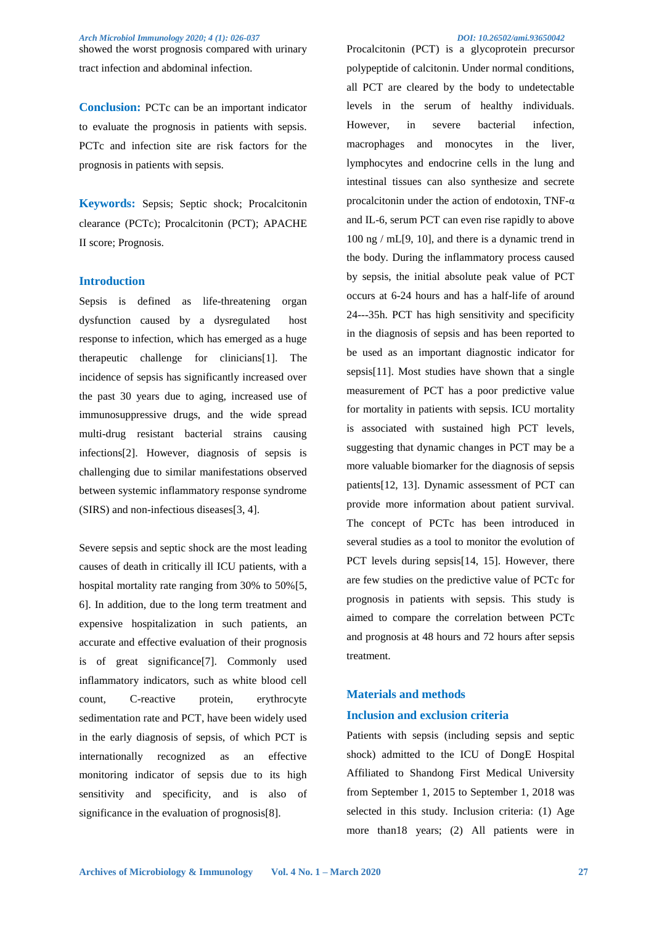showed the worst prognosis compared with urinary tract infection and abdominal infection.

**Conclusion:** PCTc can be an important indicator to evaluate the prognosis in patients with sepsis. PCTc and infection site are risk factors for the prognosis in patients with sepsis.

**Keywords:** Sepsis; Septic shock; Procalcitonin clearance (PCTc); Procalcitonin (PCT); APACHE II score; Prognosis.

### **Introduction**

Sepsis is defined as life-threatening organ dysfunction caused by a dysregulated host response to infection, which has emerged as a huge therapeutic challenge for clinicians[1]. The incidence of sepsis has significantly increased over the past 30 years due to aging, increased use of immunosuppressive drugs, and the wide spread multi-drug resistant bacterial strains causing infections[2]. However, diagnosis of sepsis is challenging due to similar manifestations observed between systemic inflammatory response syndrome (SIRS) and non-infectious diseases[3, 4].

Severe sepsis and septic shock are the most leading causes of death in critically ill ICU patients, with a hospital mortality rate ranging from 30% to 50% [5, 6]. In addition, due to the long term treatment and expensive hospitalization in such patients, an accurate and effective evaluation of their prognosis is of great significance[7]. Commonly used inflammatory indicators, such as white blood cell count. C-reactive protein, erythrocyte sedimentation rate and PCT, have been widely used in the early diagnosis of sepsis, of which PCT is internationally recognized as an effective monitoring indicator of sepsis due to its high sensitivity and specificity, and is also of significance in the evaluation of prognosis[8].

Procalcitonin (PCT) is a glycoprotein precursor polypeptide of calcitonin. Under normal conditions, all PCT are cleared by the body to undetectable levels in the serum of healthy individuals. However, in severe bacterial infection, macrophages and monocytes in the liver, lymphocytes and endocrine cells in the lung and intestinal tissues can also synthesize and secrete procalcitonin under the action of endotoxin, TNF- $\alpha$ and IL-6, serum PCT can even rise rapidly to above 100 ng / mL[9, 10], and there is a dynamic trend in the body. During the inflammatory process caused by sepsis, the initial absolute peak value of PCT occurs at 6-24 hours and has a half-life of around 24---35h. PCT has high sensitivity and specificity in the diagnosis of sepsis and has been reported to be used as an important diagnostic indicator for sepsis[11]. Most studies have shown that a single measurement of PCT has a poor predictive value for mortality in patients with sepsis. ICU mortality is associated with sustained high PCT levels, suggesting that dynamic changes in PCT may be a more valuable biomarker for the diagnosis of sepsis patients[12, 13]. Dynamic assessment of PCT can provide more information about patient survival. The concept of PCTc has been introduced in several studies as a tool to monitor the evolution of PCT levels during sepsis[14, 15]. However, there are few studies on the predictive value of PCTc for prognosis in patients with sepsis. This study is aimed to compare the correlation between PCTc and prognosis at 48 hours and 72 hours after sepsis treatment.

# **Materials and methods Inclusion and exclusion criteria**

Patients with sepsis (including sepsis and septic shock) admitted to the ICU of DongE Hospital Affiliated to Shandong First Medical University from September 1, 2015 to September 1, 2018 was selected in this study. Inclusion criteria: (1) Age more than18 years; (2) All patients were in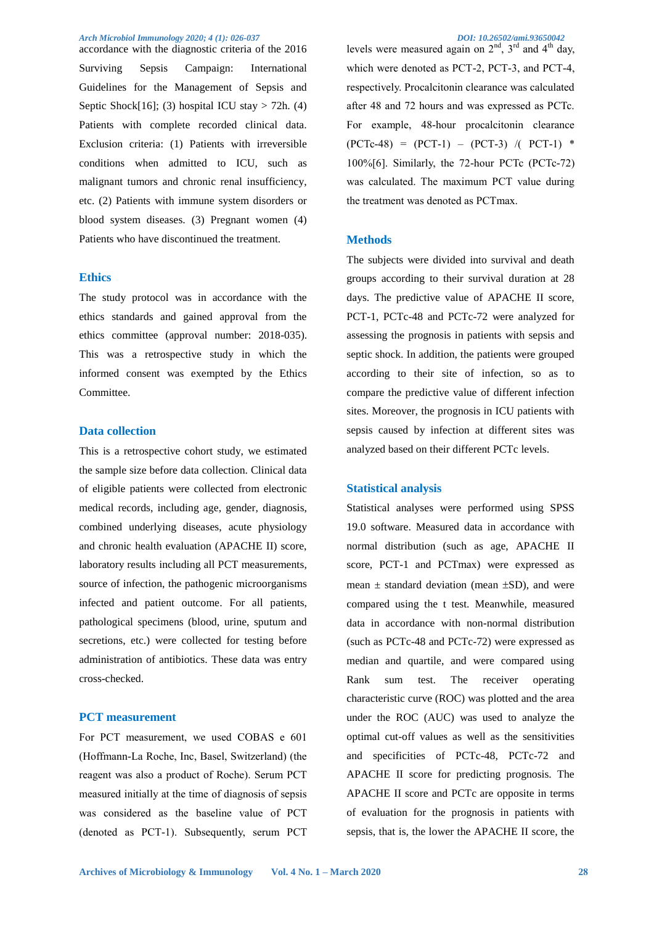accordance with the diagnostic criteria of the 2016 Surviving Sepsis Campaign: International Guidelines for the Management of Sepsis and Septic Shock $[16]$ ; (3) hospital ICU stay > 72h. (4) Patients with complete recorded clinical data. Exclusion criteria: (1) Patients with irreversible conditions when admitted to ICU, such as malignant tumors and chronic renal insufficiency, etc. (2) Patients with immune system disorders or blood system diseases. (3) Pregnant women (4) Patients who have discontinued the treatment.

#### **Ethics**

The study protocol was in accordance with the ethics standards and gained approval from the ethics committee (approval number: 2018-035). This was a retrospective study in which the informed consent was exempted by the Ethics Committee.

#### **Data collection**

This is a retrospective cohort study, we estimated the sample size before data collection. Clinical data of eligible patients were collected from electronic medical records, including age, gender, [diagnosis,](file:///C:/Users/Administrator/AppData/Local/youdao/dict/Application/8.5.3.0/resultui/html/index.html#/javascript:;) combined underlying diseases, acute physiology and chronic health evaluation (APACHE II) score, laboratory results including all PCT measurements, source of infection, the pathogenic microorganisms infected and patient outcome. For all patients, pathological specimens (blood, urine, sputum and secretions, etc.) were collected for testing before administration of antibiotics. These data was entry cross-checked.

### **PCT measurement**

For PCT measurement, we used COBAS e 601 (Hoffmann-La Roche, Inc, Basel, Switzerland) (the reagent was also a product of Roche). Serum PCT measured initially at the time of diagnosis of sepsis was considered as the baseline value of PCT (denoted as PCT-1). Subsequently, serum PCT

levels were measured again on  $2<sup>nd</sup>$ ,  $3<sup>rd</sup>$  and  $4<sup>th</sup>$  day, which were denoted as PCT-2, PCT-3, and PCT-4, respectively. Procalcitonin clearance was calculated after 48 and 72 hours and was expressed as PCTc. For example, 48-hour procalcitonin clearance  $(PCTc-48) = (PCT-1) - (PCT-3) / (PCT-1)$  \* 100%[6]. Similarly, the 72-hour PCTc (PCTc-72) was calculated. The maximum PCT value during the treatment was denoted as PCTmax.

#### **Methods**

The subjects were divided into survival and death groups according to their survival duration at 28 days. The predictive value of APACHE II score, PCT-1, PCTc-48 and PCTc-72 were analyzed for assessing the prognosis in patients with sepsis and septic shock. In addition, the patients were grouped according to their site of infection, so as to compare the predictive value of different infection sites. Moreover, the prognosis in ICU patients with sepsis caused by infection at different sites was analyzed based on their different PCTc levels.

#### **Statistical analysis**

Statistical analyses were performed using SPSS 19.0 software. Measured data in accordance with normal distribution (such as age, APACHE II score, PCT-1 and PCTmax) were expressed as mean  $\pm$  standard deviation (mean  $\pm$ SD), and were compared using the t test. Meanwhile, measured data in accordance with non-normal distribution (such as PCTc-48 and PCTc-72) were expressed as median and quartile, and were compared using Rank sum test. The receiver operating characteristic curve (ROC) was plotted and the area under the ROC (AUC) was used to analyze the optimal cut-off values as well as the sensitivities and specificities of PCTc-48, PCTc-72 and APACHE II score for predicting prognosis. The APACHE II score and PCTc are opposite in terms of evaluation for the prognosis in patients with sepsis, that is, the lower the APACHE II score, the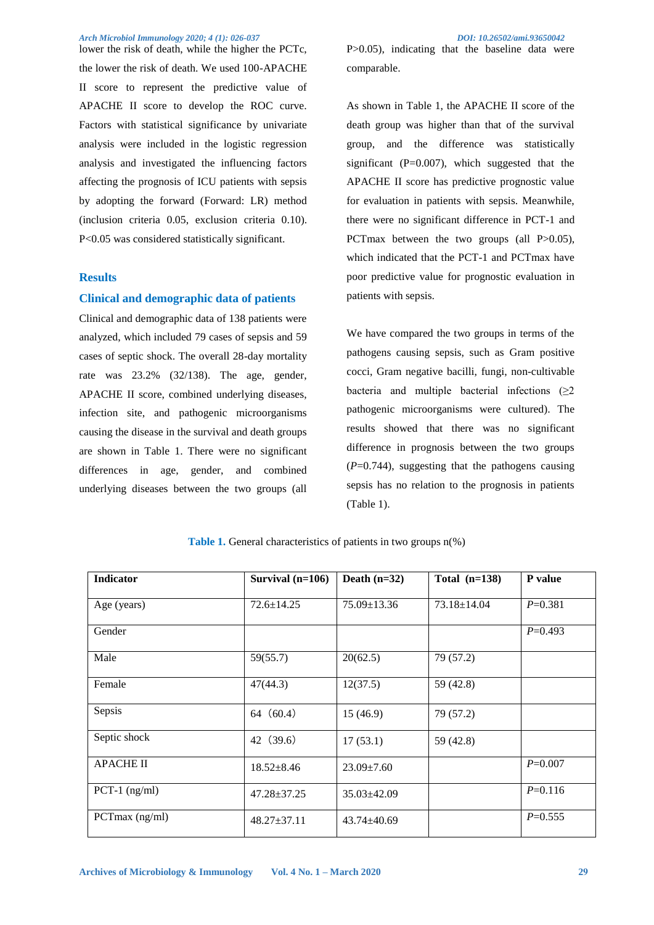lower the risk of death, while the higher the PCTc, the lower the risk of death. We used 100-APACHE II score to represent the predictive value of APACHE II score to develop the ROC curve. Factors with statistical significance by univariate analysis were included in the logistic regression analysis and investigated the influencing factors affecting the prognosis of ICU patients with sepsis by adopting the forward (Forward: LR) method (inclusion criteria 0.05, exclusion criteria 0.10). P<0.05 was considered statistically significant.

#### **Results**

#### **Clinical and demographic data of patients**

Clinical and demographic data of 138 patients were analyzed, which included 79 cases of sepsis and 59 cases of septic shock. The overall 28-day mortality rate was 23.2% (32/138). The age, gender, APACHE II score, combined underlying diseases, infection site, and pathogenic microorganisms causing the disease in the survival and death groups are shown in Table 1. There were no significant differences in age, gender, and combined underlying diseases between the two groups (all

comparable.

As shown in Table 1, the APACHE II score of the death group was higher than that of the survival group, and the difference was statistically significant  $(P=0.007)$ , which suggested that the APACHE II score has predictive prognostic value for evaluation in patients with sepsis. Meanwhile, there were no significant difference in PCT-1 and PCTmax between the two groups (all P $>0.05$ ), which indicated that the PCT-1 and PCTmax have poor predictive value for prognostic evaluation in patients with sepsis.

We have compared the two groups in terms of the pathogens causing sepsis, such as Gram positive cocci, Gram negative bacilli, fungi, non-cultivable bacteria and multiple bacterial infections  $(\geq 2)$ pathogenic microorganisms were cultured). The results showed that there was no significant difference in prognosis between the two groups  $(P=0.744)$ , suggesting that the pathogens causing sepsis has no relation to the prognosis in patients (Table 1).

| <b>Indicator</b>      | Survival $(n=106)$ | Death $(n=32)$    | Total $(n=138)$   | P value     |
|-----------------------|--------------------|-------------------|-------------------|-------------|
|                       |                    |                   |                   |             |
| Age (years)           | $72.6 \pm 14.25$   | $75.09 \pm 13.36$ | $73.18 \pm 14.04$ | $P=0.381$   |
|                       |                    |                   |                   |             |
| Gender                |                    |                   |                   | $P=0.493$   |
|                       |                    |                   |                   |             |
| Male                  | 59(55.7)           | 20(62.5)          | 79 (57.2)         |             |
|                       |                    |                   |                   |             |
| Female                | 47(44.3)           | 12(37.5)          | 59 (42.8)         |             |
|                       |                    |                   |                   |             |
| Sepsis                | 64(60.4)           | 15(46.9)          | 79 (57.2)         |             |
|                       |                    |                   |                   |             |
| Septic shock          | 42 (39.6)          | 17(53.1)          | 59 (42.8)         |             |
|                       |                    |                   |                   |             |
| <b>APACHE II</b>      | $18.52 \pm 8.46$   | $23.09 \pm 7.60$  |                   | $P = 0.007$ |
|                       |                    |                   |                   |             |
| PCT-1 $(ng/ml)$       | $47.28 \pm 37.25$  | $35.03 \pm 42.09$ |                   | $P=0.116$   |
|                       |                    |                   |                   |             |
| PCT $max$ ( $ng/ml$ ) | $48.27 \pm 37.11$  | $43.74 \pm 40.69$ |                   | $P=0.555$   |
|                       |                    |                   |                   |             |
|                       |                    |                   |                   |             |

**Table 1.** General characteristics of patients in two groups n(%)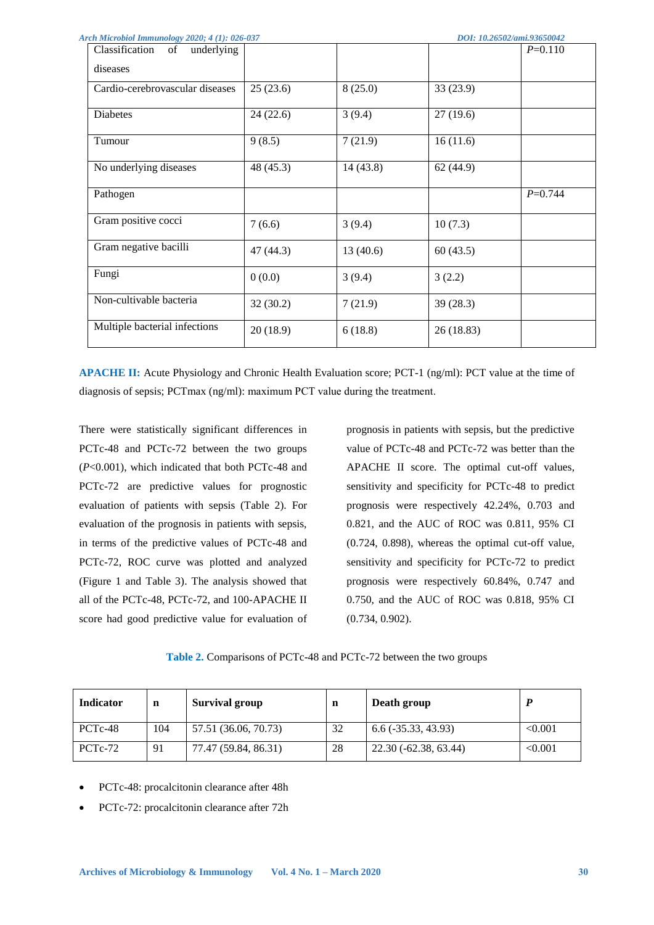| Arch Microbiol Immunology 2020; 4 (1): 026-037<br>DOI: 10.26502/ami.93650042 |           |          |           |             |  |
|------------------------------------------------------------------------------|-----------|----------|-----------|-------------|--|
| Classification<br>of underlying                                              |           |          |           | $P=0.110$   |  |
| diseases                                                                     |           |          |           |             |  |
| Cardio-cerebrovascular diseases                                              | 25(23.6)  | 8(25.0)  | 33 (23.9) |             |  |
| <b>Diabetes</b>                                                              | 24(22.6)  | 3(9.4)   | 27(19.6)  |             |  |
| Tumour                                                                       | 9(8.5)    | 7(21.9)  | 16(11.6)  |             |  |
| No underlying diseases                                                       | 48 (45.3) | 14(43.8) | 62(44.9)  |             |  |
| Pathogen                                                                     |           |          |           | $P = 0.744$ |  |
| Gram positive cocci                                                          | 7(6.6)    | 3(9.4)   | 10(7.3)   |             |  |
| Gram negative bacilli                                                        | 47(44.3)  | 13(40.6) | 60(43.5)  |             |  |
| Fungi                                                                        | 0(0.0)    | 3(9.4)   | 3(2.2)    |             |  |
| Non-cultivable bacteria                                                      | 32(30.2)  | 7(21.9)  | 39(28.3)  |             |  |
| Multiple bacterial infections                                                | 20(18.9)  | 6(18.8)  | 26(18.83) |             |  |

**APACHE II:** Acute Physiology and Chronic Health Evaluation score; PCT-1 (ng/ml): PCT value at the time of diagnosis of sepsis; PCTmax (ng/ml): maximum PCT value during the treatment.

There were statistically significant differences in PCTc-48 and PCTc-72 between the two groups (*P*<0.001), which indicated that both PCTc-48 and PCTc-72 are predictive values for prognostic evaluation of patients with sepsis (Table 2). For evaluation of the prognosis in patients with sepsis, in terms of the predictive values of PCTc-48 and PCTc-72, ROC curve was plotted and analyzed (Figure 1 and Table 3). The analysis showed that all of the PCTc-48, PCTc-72, and 100-APACHE II score had good predictive value for evaluation of prognosis in patients with sepsis, but the predictive value of PCTc-48 and PCTc-72 was better than the APACHE II score. The optimal cut-off values, sensitivity and specificity for PCTc-48 to predict prognosis were respectively 42.24%, 0.703 and 0.821, and the AUC of ROC was 0.811, 95% CI (0.724, 0.898), whereas the optimal cut-off value, sensitivity and specificity for PCTc-72 to predict prognosis were respectively 60.84%, 0.747 and 0.750, and the AUC of ROC was 0.818, 95% CI (0.734, 0.902).

#### **Table 2.** Comparisons of PCTc-48 and PCTc-72 between the two groups

| <b>Indicator</b>     | n   | <b>Survival group</b> | n  | Death group           |         |
|----------------------|-----|-----------------------|----|-----------------------|---------|
| PCT <sub>c</sub> -48 | 104 | 57.51 (36.06, 70.73)  | 32 | $6.6$ (-35.33, 43.93) | < 0.001 |
| PCT <sub>c</sub> -72 | 91  | 77.47 (59.84, 86.31)  | 28 | 22.30 (-62.38, 63.44) | < 0.001 |

- PCTc-48: procalcitonin clearance after 48h
- PCTc-72: procalcitonin clearance after 72h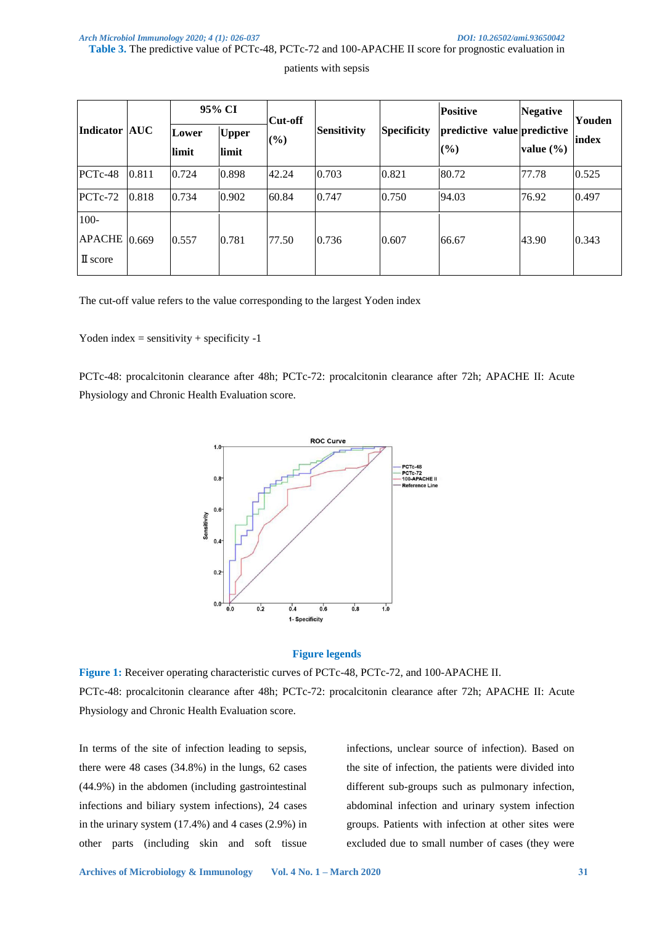#### **Table 3.** The predictive value of PCTc-48, PCTc-72 and 100-APACHE II score for prognostic evaluation in

patients with sepsis

|                                                         |       |                | 95% CI                | <b>Cut-off</b> |             |                    | <b>Positive</b>                    | <b>Negative</b> | Youden |
|---------------------------------------------------------|-------|----------------|-----------------------|----------------|-------------|--------------------|------------------------------------|-----------------|--------|
| Indicator AUC                                           |       | Lower<br>limit | <b>Upper</b><br>limit | $(\%)$         | Sensitivity | <b>Specificity</b> | predictive value predictive<br>(%) | value $(\% )$   | index  |
| PCT <sub>c</sub> -48                                    | 0.811 | 0.724          | 0.898                 | 42.24          | 0.703       | 0.821              | 80.72                              | 77.78           | 0.525  |
| $PCTc-72$                                               | 0.818 | 0.734          | 0.902                 | 60.84          | 0.747       | 0.750              | 94.03                              | 76.92           | 0.497  |
| $100 -$<br>APACHE $ 0.669\rangle$<br>$\mathbb{I}$ score |       | 0.557          | 0.781                 | 77.50          | 0.736       | 0.607              | 66.67                              | 43.90           | 0.343  |

The cut-off value refers to the value corresponding to the largest Yoden index

Yoden index = sensitivity + specificity  $-1$ 

PCTc-48: procalcitonin clearance after 48h; PCTc-72: procalcitonin clearance after 72h; APACHE II: Acute Physiology and Chronic Health Evaluation score.



#### **Figure legends**

**Figure 1:** Receiver operating characteristic curves of PCTc-48, PCTc-72, and 100-APACHE II. PCTc-48: procalcitonin clearance after 48h; PCTc-72: procalcitonin clearance after 72h; APACHE II: Acute Physiology and Chronic Health Evaluation score.

In terms of the site of infection leading to sepsis, there were 48 cases (34.8%) in the lungs, 62 cases (44.9%) in the abdomen (including gastrointestinal infections and biliary system infections), 24 cases in the urinary system (17.4%) and 4 cases (2.9%) in other parts (including skin and soft tissue

infections, unclear source of infection). Based on the site of infection, the patients were divided into different sub-groups such as pulmonary infection, abdominal infection and urinary system infection groups. Patients with infection at other sites were excluded due to small number of cases (they were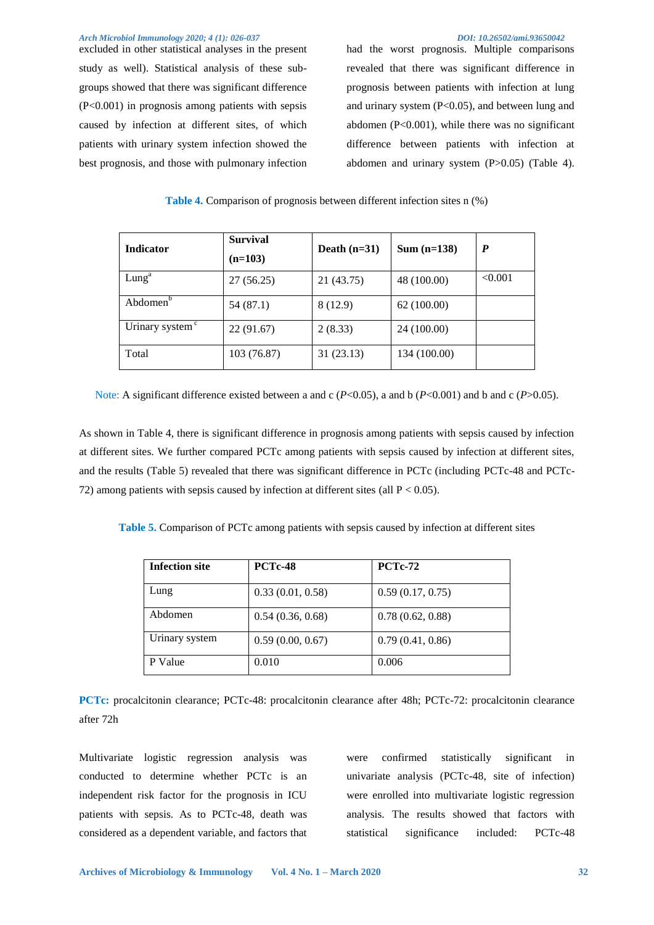excluded in other statistical analyses in the present study as well). Statistical analysis of these subgroups showed that there was significant difference (P<0.001) in prognosis among patients with sepsis caused by infection at different sites, of which patients with urinary system infection showed the best prognosis, and those with pulmonary infection

had the worst prognosis. Multiple comparisons revealed that there was significant difference in prognosis between patients with infection at lung and urinary system (P<0.05), and between lung and abdomen (P<0.001), while there was no significant difference between patients with infection at abdomen and urinary system (P>0.05) (Table 4).

| <b>Table 4.</b> Comparison of prognosis between different infection sites n (%) |  |  |  |  |  |  |
|---------------------------------------------------------------------------------|--|--|--|--|--|--|
|---------------------------------------------------------------------------------|--|--|--|--|--|--|

| <b>Indicator</b>            | <b>Survival</b><br>$(n=103)$ | Death $(n=31)$ | $Sum (n=138)$ | $\bm{P}$ |
|-----------------------------|------------------------------|----------------|---------------|----------|
| Lung <sup>a</sup>           | 27(56.25)                    | 21 (43.75)     | 48 (100.00)   | < 0.001  |
| Abdomen <sup>b</sup>        | 54 (87.1)                    | 8 (12.9)       | 62(100.00)    |          |
| Urinary system <sup>c</sup> | 22(91.67)                    | 2(8.33)        | 24 (100.00)   |          |
| Total                       | 103 (76.87)                  | 31 (23.13)     | 134 (100.00)  |          |

Note: A significant difference existed between a and c (*P*<0.05), a and b (*P*<0.001) and b and c (*P*>0.05).

As shown in Table 4, there is significant difference in prognosis among patients with sepsis caused by infection at different sites. We further compared PCTc among patients with sepsis caused by infection at different sites, and the results (Table 5) revealed that there was significant difference in PCTc (including PCTc-48 and PCTc-72) among patients with sepsis caused by infection at different sites (all  $P < 0.05$ ).

**Table 5.** Comparison of PCTc among patients with sepsis caused by infection at different sites

| <b>Infection site</b> | <b>PCTc-48</b>   | <b>PCTc-72</b>   |
|-----------------------|------------------|------------------|
| Lung                  | 0.33(0.01, 0.58) | 0.59(0.17, 0.75) |
| Abdomen               | 0.54(0.36, 0.68) | 0.78(0.62, 0.88) |
| Urinary system        | 0.59(0.00, 0.67) | 0.79(0.41, 0.86) |
| P Value               | 0.010            | 0.006            |

**PCTc:** procalcitonin clearance; PCTc-48: procalcitonin clearance after 48h; PCTc-72: procalcitonin clearance after 72h

Multivariate logistic regression analysis was conducted to determine whether PCTc is an independent risk factor for the prognosis in ICU patients with sepsis. As to PCTc-48, death was considered as a dependent variable, and factors that were confirmed statistically significant in univariate analysis (PCTc-48, site of infection) were enrolled into multivariate logistic regression analysis. The results showed that factors with statistical significance included: PCTc-48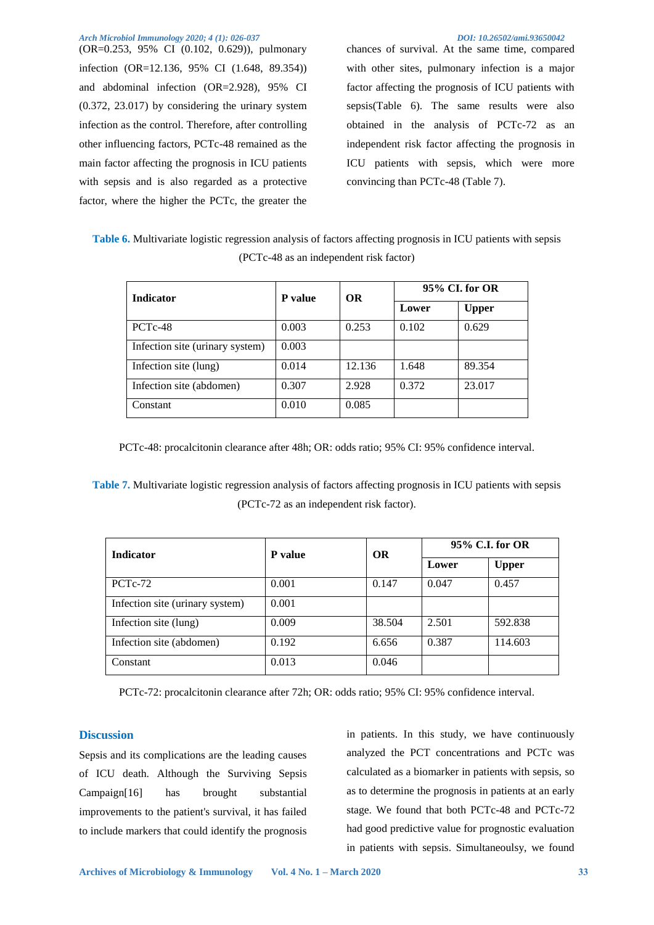(OR=0.253, 95% CI (0.102, 0.629)), pulmonary infection (OR=12.136, 95% CI (1.648, 89.354)) and abdominal infection (OR=2.928), 95% CI (0.372, 23.017) by considering the urinary system infection as the control. Therefore, after controlling other influencing factors, PCTc-48 remained as the main factor affecting the prognosis in ICU patients with sepsis and is also regarded as a protective factor, where the higher the PCTc, the greater the

chances of survival. At the same time, compared with other sites, pulmonary infection is a major factor affecting the prognosis of ICU patients with sepsis(Table 6). The same results were also obtained in the analysis of PCTc-72 as an independent risk factor affecting the prognosis in ICU patients with sepsis, which were more convincing than PCTc-48 (Table 7).

**Table 6.** Multivariate logistic regression analysis of factors affecting prognosis in ICU patients with sepsis (PCTc-48 as an independent risk factor)

| <b>Indicator</b>                | <b>P</b> value | <b>OR</b> | 95% CI. for OR |              |  |
|---------------------------------|----------------|-----------|----------------|--------------|--|
|                                 |                |           | Lower          | <b>Upper</b> |  |
| PCT <sub>c</sub> -48            | 0.003          | 0.253     | 0.102          | 0.629        |  |
| Infection site (urinary system) | 0.003          |           |                |              |  |
| Infection site (lung)           | 0.014          | 12.136    | 1.648          | 89.354       |  |
| Infection site (abdomen)        | 0.307          | 2.928     | 0.372          | 23.017       |  |
| Constant                        | 0.010          | 0.085     |                |              |  |

PCTc-48: procalcitonin clearance after 48h; OR: odds ratio; 95% CI: 95% confidence interval.

**Table 7.** Multivariate logistic regression analysis of factors affecting prognosis in ICU patients with sepsis (PCTc-72 as an independent risk factor).

| <b>Indicator</b>                | <b>P</b> value | <b>OR</b> | 95% C.I. for OR |              |
|---------------------------------|----------------|-----------|-----------------|--------------|
|                                 |                |           | Lower           | <b>Upper</b> |
| PCT <sub>c</sub> -72            | 0.001          | 0.147     | 0.047           | 0.457        |
| Infection site (urinary system) | 0.001          |           |                 |              |
| Infection site (lung)           | 0.009          | 38.504    | 2.501           | 592.838      |
| Infection site (abdomen)        | 0.192          | 6.656     | 0.387           | 114.603      |
| Constant                        | 0.013          | 0.046     |                 |              |

PCTc-72: procalcitonin clearance after 72h; OR: odds ratio; 95% CI: 95% confidence interval.

#### **Discussion**

Sepsis and its complications are the leading causes of ICU death. Although the Surviving Sepsis Campaign[16] has brought substantial improvements to the patient's survival, it has failed to include markers that could identify the prognosis

in patients. In this study, we have continuously analyzed the PCT concentrations and PCTc was calculated as a biomarker in patients with sepsis, so as to determine the prognosis in patients at an early stage. We found that both PCTc-48 and PCTc-72 had good predictive value for prognostic evaluation in patients with sepsis. Simultaneoulsy, we found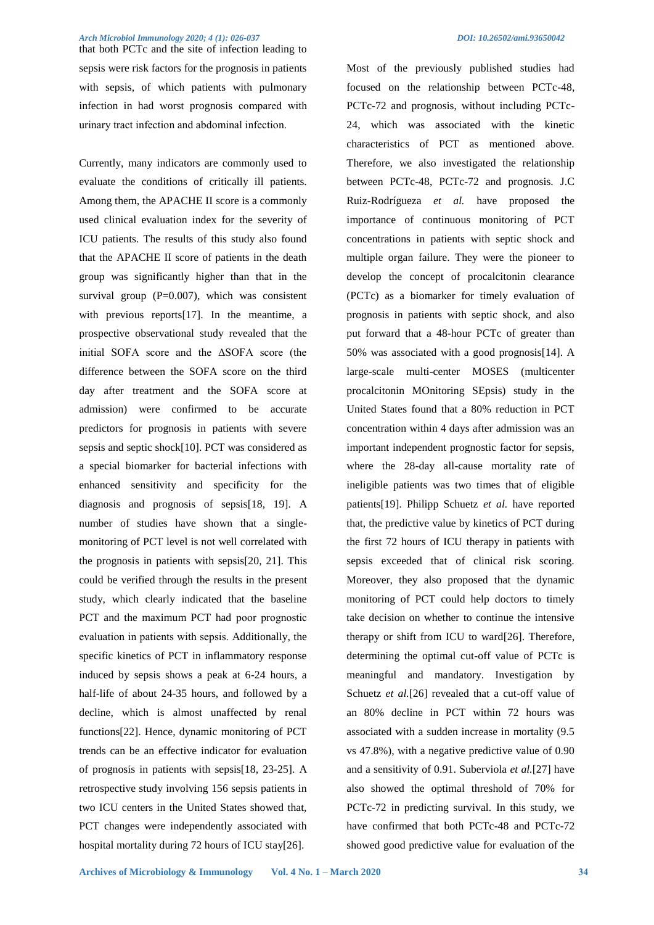that both PCTc and the site of infection leading to sepsis were risk factors for the prognosis in patients with sepsis, of which patients with pulmonary infection in had worst prognosis compared with urinary tract infection and abdominal infection.

Currently, many indicators are commonly used to evaluate the conditions of critically ill patients. Among them, the APACHE II score is a commonly used clinical evaluation index for the severity of ICU patients. The results of this study also found that the APACHE II score of patients in the death group was significantly higher than that in the survival group  $(P=0.007)$ , which was consistent with previous reports[17]. In the meantime, a prospective observational study revealed that the initial SOFA score and the ΔSOFA score (the difference between the SOFA score on the third day after treatment and the SOFA score at admission) were confirmed to be accurate predictors for prognosis in patients with severe sepsis and septic shock[10]. PCT was considered as a special biomarker for bacterial infections with enhanced sensitivity and specificity for the diagnosis and prognosis of sepsis[18, 19]. A number of studies have shown that a singlemonitoring of PCT level is not well correlated with the prognosis in patients with sepsis[20, 21]. This could be verified through the results in the present study, which clearly indicated that the baseline PCT and the maximum PCT had poor prognostic evaluation in patients with sepsis. Additionally, the specific kinetics of PCT in inflammatory response induced by sepsis shows a peak at 6-24 hours, a half-life of about 24-35 hours, and followed by a decline, which is almost unaffected by renal functions[22]. Hence, dynamic monitoring of PCT trends can be an effective indicator for evaluation of prognosis in patients with sepsis[18, 23-25]. A retrospective study involving 156 sepsis patients in two ICU centers in the United States showed that, PCT changes were independently associated with hospital mortality during 72 hours of ICU stay[26].

Most of the previously published studies had focused on the relationship between PCTc-48, PCTc-72 and prognosis, without including PCTc-24, which was associated with the kinetic characteristics of PCT as mentioned above. Therefore, we also investigated the relationship between PCTc-48, PCTc-72 and prognosis. J.C Ruiz-Rodrígueza *et al.* have proposed the importance of continuous monitoring of PCT concentrations in patients with septic shock and multiple organ failure. They were the pioneer to develop the concept of procalcitonin clearance (PCTc) as a biomarker for timely evaluation of prognosis in patients with septic shock, and also put forward that a 48-hour PCTc of greater than 50% was associated with a good prognosis[14]. A large-scale multi-center MOSES (multicenter procalcitonin MOnitoring SEpsis) study in the United States found that a 80% reduction in PCT concentration within 4 days after admission was an important independent prognostic factor for sepsis, where the 28-day all-cause mortality rate of ineligible patients was two times that of eligible patients[19]. Philipp Schuetz *et al.* have reported that, the predictive value by kinetics of PCT during the first 72 hours of ICU therapy in patients with sepsis exceeded that of clinical risk scoring. Moreover, they also proposed that the dynamic monitoring of PCT could help doctors to timely take decision on whether to continue the intensive therapy or shift from ICU to ward[26]. Therefore, determining the optimal cut-off value of PCTc is meaningful and mandatory. Investigation by Schuetz *et al.*[26] revealed that a cut-off value of an 80% decline in PCT within 72 hours was associated with a sudden increase in mortality (9.5 vs 47.8%), with a negative predictive value of 0.90 and a sensitivity of 0.91. Suberviola *et al.*[27] have also showed the optimal threshold of 70% for PCTc-72 in predicting survival. In this study, we have confirmed that both PCTc-48 and PCTc-72 showed good predictive value for evaluation of the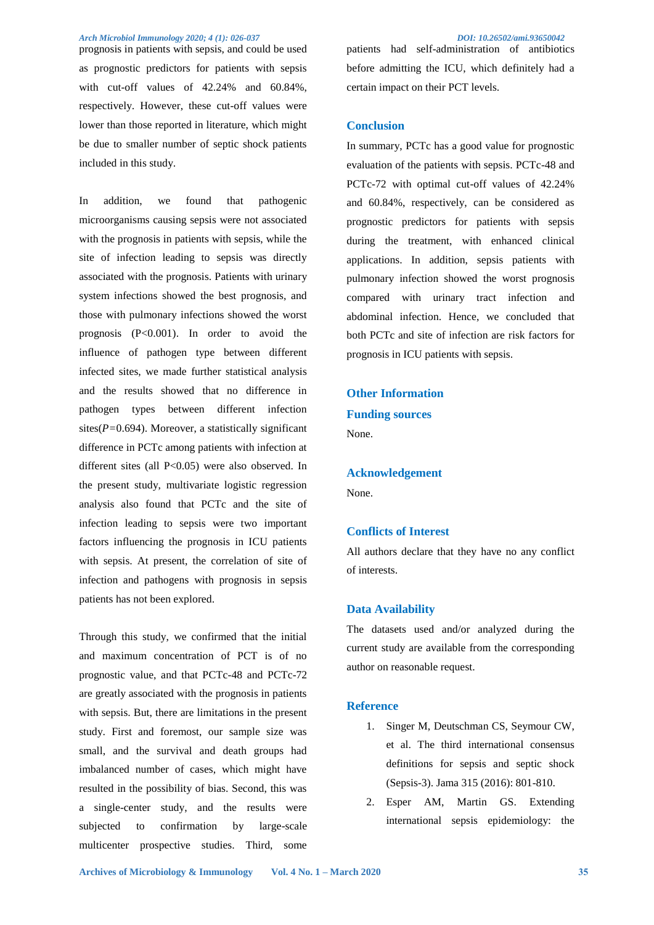prognosis in patients with sepsis, and could be used as prognostic predictors for patients with sepsis with cut-off values of 42.24% and 60.84%, respectively. However, these cut-off values were lower than those reported in literature, which might be due to smaller number of septic shock patients included in this study.

In addition, we found that pathogenic microorganisms causing sepsis were not associated with the prognosis in patients with sepsis, while the site of infection leading to sepsis was directly associated with the prognosis. Patients with urinary system infections showed the best prognosis, and those with pulmonary infections showed the worst prognosis  $(P<0.001)$ . In order to avoid the influence of pathogen type between different infected sites, we made further statistical analysis and the results showed that no difference in pathogen types between different infection sites(*P=*0.694). Moreover, a statistically significant difference in PCTc among patients with infection at different sites (all P<0.05) were also observed. In the present study, multivariate logistic regression analysis also found that PCTc and the site of infection leading to sepsis were two important factors influencing the prognosis in ICU patients with sepsis. At present, the correlation of site of infection and pathogens with prognosis in sepsis patients has not been explored.

Through this study, we confirmed that the initial and maximum concentration of PCT is of no prognostic value, and that PCTc-48 and PCTc-72 are greatly associated with the prognosis in patients with sepsis. But, there are limitations in the present study. First and foremost, our sample size was small, and the survival and death groups had imbalanced number of cases, which might have resulted in the possibility of bias. Second, this was a single-center study, and the results were subjected to confirmation by large-scale multicenter prospective studies. Third, some

patients had self-administration of antibiotics before admitting the ICU, which definitely had a certain impact on their PCT levels.

#### **Conclusion**

In summary, PCTc has a good value for prognostic evaluation of the patients with sepsis. PCTc-48 and PCTc-72 with optimal cut-off values of 42.24% and 60.84%, respectively, can be considered as prognostic predictors for patients with sepsis during the treatment, with enhanced clinical applications. In addition, sepsis patients with pulmonary infection showed the worst prognosis compared with urinary tract infection and abdominal infection. Hence, we concluded that both PCTc and site of infection are risk factors for prognosis in ICU patients with sepsis.

**Other Information Funding sources**  None.

**Acknowledgement** 

None.

#### **Conflicts of Interest**

All authors declare that they have no any conflict of interests.

#### **Data Availability**

The datasets used and/or analyzed during the current study are available from the corresponding author on reasonable request.

#### **Reference**

- 1. Singer M, Deutschman CS, Seymour CW, et al. The third international consensus definitions for sepsis and septic shock (Sepsis-3). Jama 315 (2016): 801-810.
- 2. Esper AM, Martin GS. Extending international sepsis epidemiology: the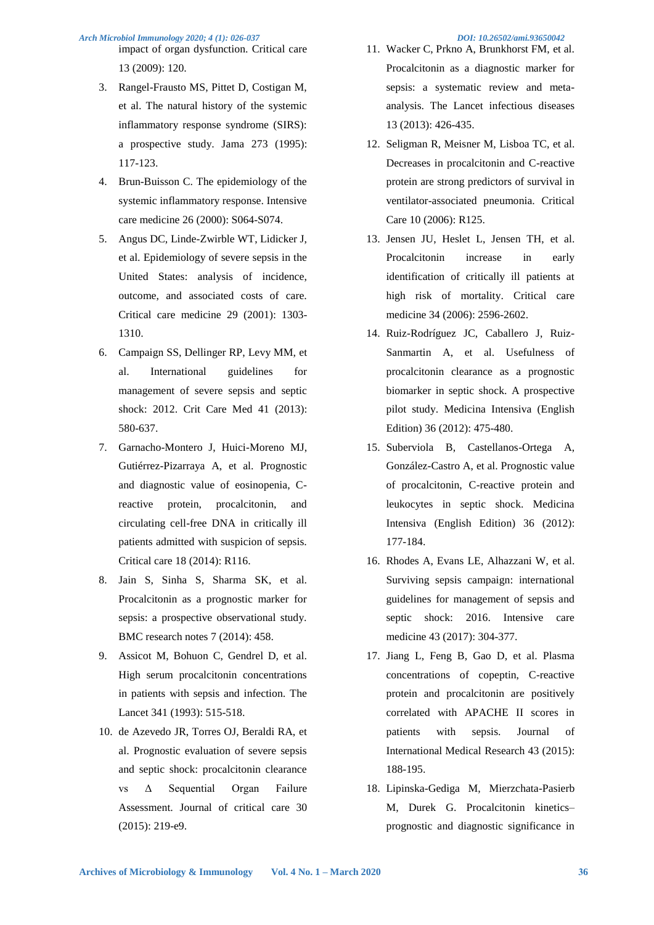impact of organ dysfunction. Critical care 13 (2009): 120.

- 3. Rangel-Frausto MS, Pittet D, Costigan M, et al. The natural history of the systemic inflammatory response syndrome (SIRS): a prospective study. Jama 273 (1995): 117-123.
- 4. Brun-Buisson C. The epidemiology of the systemic inflammatory response. Intensive care medicine 26 (2000): S064-S074.
- 5. Angus DC, Linde-Zwirble WT, Lidicker J, et al. Epidemiology of severe sepsis in the United States: analysis of incidence, outcome, and associated costs of care. Critical care medicine 29 (2001): 1303- 1310.
- 6. Campaign SS, Dellinger RP, Levy MM, et al. International guidelines for management of severe sepsis and septic shock: 2012. Crit Care Med 41 (2013): 580-637.
- 7. Garnacho-Montero J, Huici-Moreno MJ, Gutiérrez-Pizarraya A, et al. Prognostic and diagnostic value of eosinopenia, Creactive protein, procalcitonin, and circulating cell-free DNA in critically ill patients admitted with suspicion of sepsis. Critical care 18 (2014): R116.
- 8. Jain S, Sinha S, Sharma SK, et al. Procalcitonin as a prognostic marker for sepsis: a prospective observational study. BMC research notes 7 (2014): 458.
- 9. Assicot M, Bohuon C, Gendrel D, et al. High serum procalcitonin concentrations in patients with sepsis and infection. The Lancet 341 (1993): 515-518.
- 10. de Azevedo JR, Torres OJ, Beraldi RA, et al. Prognostic evaluation of severe sepsis and septic shock: procalcitonin clearance vs Δ Sequential Organ Failure Assessment. Journal of critical care 30 (2015): 219-e9.

- 11. Wacker C, Prkno A, Brunkhorst FM, et al. Procalcitonin as a diagnostic marker for sepsis: a systematic review and metaanalysis. The Lancet infectious diseases 13 (2013): 426-435.
- 12. Seligman R, Meisner M, Lisboa TC, et al. Decreases in procalcitonin and C-reactive protein are strong predictors of survival in ventilator-associated pneumonia. Critical Care 10 (2006): R125.
- 13. Jensen JU, Heslet L, Jensen TH, et al. Procalcitonin increase in early identification of critically ill patients at high risk of mortality. Critical care medicine 34 (2006): 2596-2602.
- 14. Ruiz-Rodríguez JC, Caballero J, Ruiz-Sanmartin A, et al. Usefulness of procalcitonin clearance as a prognostic biomarker in septic shock. A prospective pilot study. Medicina Intensiva (English Edition) 36 (2012): 475-480.
- 15. Suberviola B, Castellanos-Ortega A, González-Castro A, et al. Prognostic value of procalcitonin, C-reactive protein and leukocytes in septic shock. Medicina Intensiva (English Edition) 36 (2012): 177-184.
- 16. Rhodes A, Evans LE, Alhazzani W, et al. Surviving sepsis campaign: international guidelines for management of sepsis and septic shock: 2016. Intensive care medicine 43 (2017): 304-377.
- 17. Jiang L, Feng B, Gao D, et al. Plasma concentrations of copeptin, C-reactive protein and procalcitonin are positively correlated with APACHE II scores in patients with sepsis. Journal of International Medical Research 43 (2015): 188-195.
- 18. Lipinska-Gediga M, Mierzchata-Pasierb M, Durek G. Procalcitonin kinetics– prognostic and diagnostic significance in